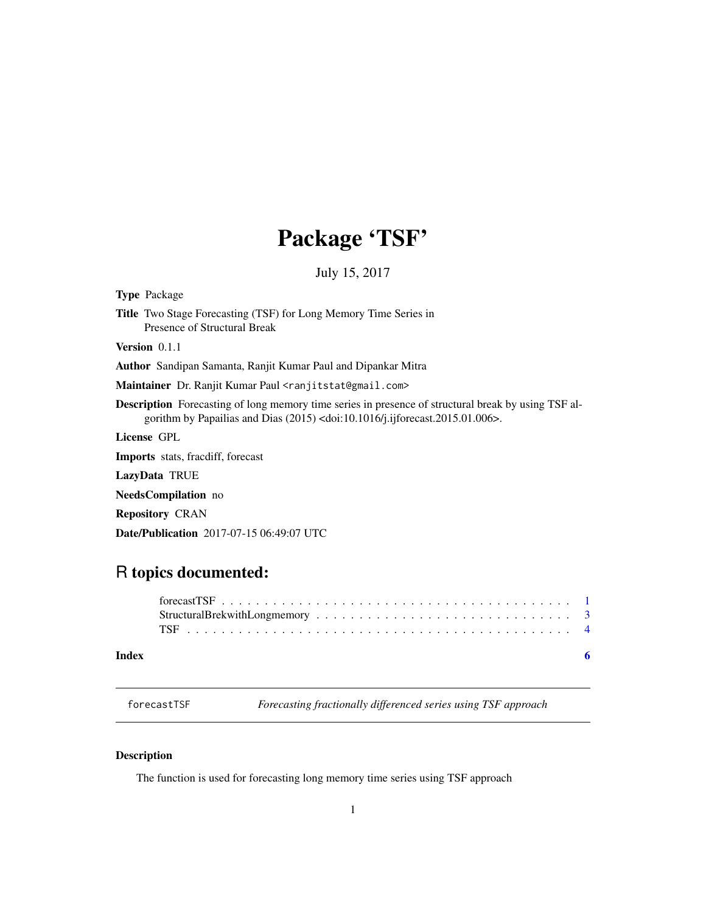## Package 'TSF'

July 15, 2017

<span id="page-0-0"></span>

| <b>Type Package</b>                                                                                                                                                                                           |
|---------------------------------------------------------------------------------------------------------------------------------------------------------------------------------------------------------------|
| <b>Title</b> Two Stage Forecasting (TSF) for Long Memory Time Series in<br>Presence of Structural Break                                                                                                       |
| <b>Version</b> $0.1.1$                                                                                                                                                                                        |
| <b>Author</b> Sandipan Samanta, Ranjit Kumar Paul and Dipankar Mitra                                                                                                                                          |
| Maintainer Dr. Ranjit Kumar Paul <ranjitstat@gmail.com></ranjitstat@gmail.com>                                                                                                                                |
| <b>Description</b> Forecasting of long memory time series in presence of structural break by using TSF al-<br>gorithm by Papailias and Dias $(2015)$ <doi:10.1016 j.ijforecast.2015.01.006="">.</doi:10.1016> |
| License GPL                                                                                                                                                                                                   |
| Imports stats, fracdiff, forecast                                                                                                                                                                             |
| LazyData TRUE                                                                                                                                                                                                 |
| <b>NeedsCompilation</b> no                                                                                                                                                                                    |
| <b>Repository CRAN</b>                                                                                                                                                                                        |
| <b>Date/Publication</b> 2017-07-15 06:49:07 UTC                                                                                                                                                               |

### R topics documented:

#### **Index** [6](#page-5-0) **6**

forecastTSF *Forecasting fractionally differenced series using TSF approach*

#### Description

The function is used for forecasting long memory time series using TSF approach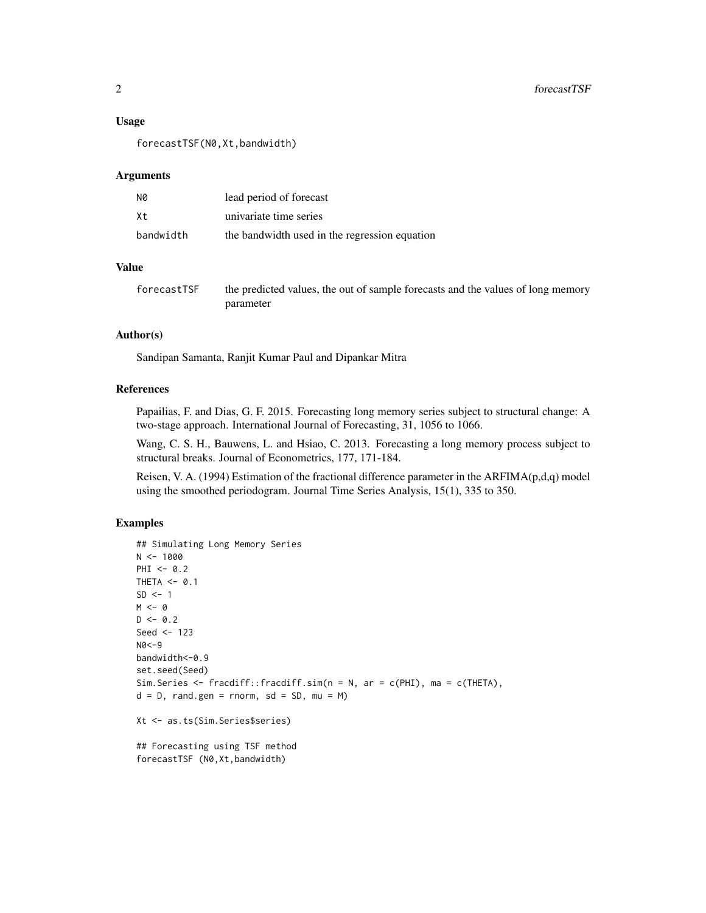#### Usage

forecastTSF(N0,Xt,bandwidth)

#### Arguments

| N0        | lead period of forecast                       |
|-----------|-----------------------------------------------|
| X t       | univariate time series                        |
| bandwidth | the bandwidth used in the regression equation |

#### Value

| forecastTSF | the predicted values, the out of sample forecasts and the values of long memory |
|-------------|---------------------------------------------------------------------------------|
|             | parameter                                                                       |

#### Author(s)

Sandipan Samanta, Ranjit Kumar Paul and Dipankar Mitra

#### References

Papailias, F. and Dias, G. F. 2015. Forecasting long memory series subject to structural change: A two-stage approach. International Journal of Forecasting, 31, 1056 to 1066.

Wang, C. S. H., Bauwens, L. and Hsiao, C. 2013. Forecasting a long memory process subject to structural breaks. Journal of Econometrics, 177, 171-184.

Reisen, V. A. (1994) Estimation of the fractional difference parameter in the ARFIMA(p,d,q) model using the smoothed periodogram. Journal Time Series Analysis, 15(1), 335 to 350.

#### Examples

```
## Simulating Long Memory Series
N < - 1000PHI < -0.2THETA <- 0.1
SD < -1M < - \thetaD \le -0.2Seed <- 123
N0<-9
bandwidth<-0.9
set.seed(Seed)
Sim.Series <- fracdiff::fracdiff.sim(n = N, ar = c(PHI), ma = c(THETA),
d = D, rand.gen = rnorm, sd = SD, mu = M)
Xt <- as.ts(Sim.Series$series)
```
## Forecasting using TSF method forecastTSF (N0,Xt,bandwidth)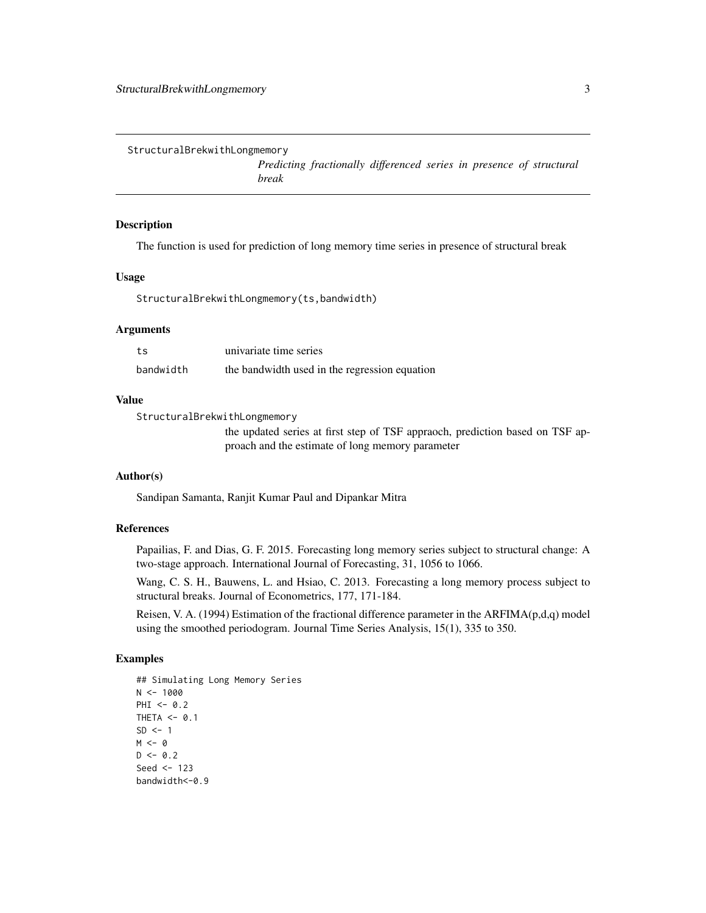<span id="page-2-0"></span>StructuralBrekwithLongmemory

*Predicting fractionally differenced series in presence of structural break*

#### Description

The function is used for prediction of long memory time series in presence of structural break

#### Usage

StructuralBrekwithLongmemory(ts,bandwidth)

#### Arguments

| ts        | univariate time series                        |
|-----------|-----------------------------------------------|
| bandwidth | the bandwidth used in the regression equation |

#### Value

StructuralBrekwithLongmemory

the updated series at first step of TSF appraoch, prediction based on TSF approach and the estimate of long memory parameter

#### Author(s)

Sandipan Samanta, Ranjit Kumar Paul and Dipankar Mitra

#### References

Papailias, F. and Dias, G. F. 2015. Forecasting long memory series subject to structural change: A two-stage approach. International Journal of Forecasting, 31, 1056 to 1066.

Wang, C. S. H., Bauwens, L. and Hsiao, C. 2013. Forecasting a long memory process subject to structural breaks. Journal of Econometrics, 177, 171-184.

Reisen, V. A. (1994) Estimation of the fractional difference parameter in the ARFIMA(p,d,q) model using the smoothed periodogram. Journal Time Series Analysis, 15(1), 335 to 350.

#### Examples

```
## Simulating Long Memory Series
N < - 1000PHI < -0.2THETA <- 0.1
SD < -1M < - \thetaD \le -0.2Seed <-123bandwidth <- 0.9
```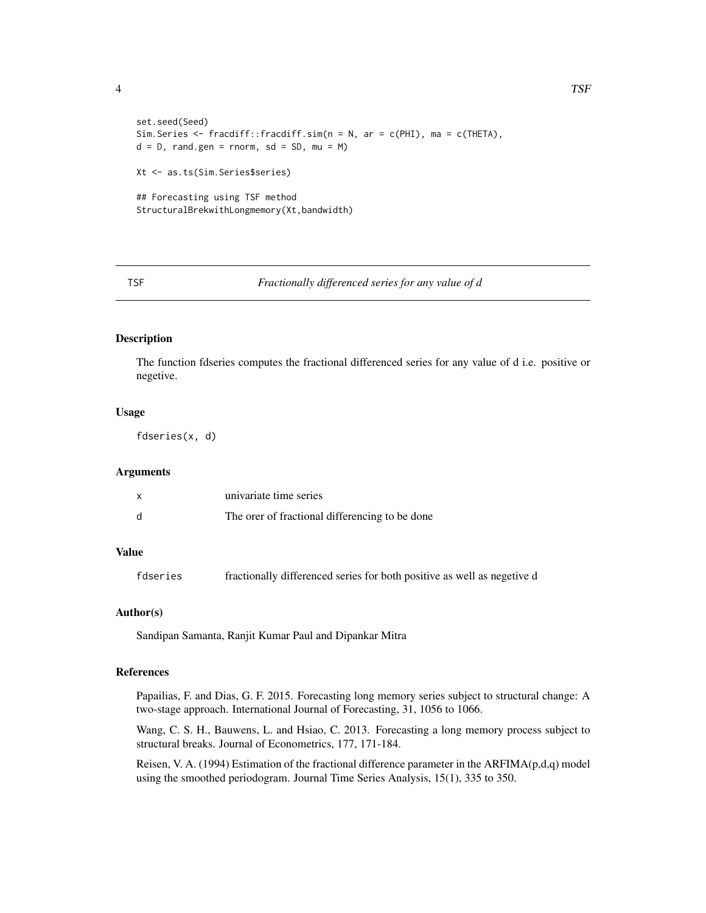<span id="page-3-0"></span>4 and the contract of the contract of the contract of the contract of the contract of the contract of the contract of the contract of the contract of the contract of the contract of the contract of the contract of the cont

```
set.seed(Seed)
Sim.Series <- fracdiff::fracdiff.sim(n = N, ar = c(PHI), ma = c(THETA),
d = D, rand.gen = rnorm, sd = SD, mu = M)
Xt <- as.ts(Sim.Series$series)
## Forecasting using TSF method
StructuralBrekwithLongmemory(Xt,bandwidth)
```
#### TSF *Fractionally differenced series for any value of d*

#### Description

The function fdseries computes the fractional differenced series for any value of d i.e. positive or negetive.

#### Usage

fdseries(x, d)

#### Arguments

|   | univariate time series                         |
|---|------------------------------------------------|
| d | The orer of fractional differencing to be done |

#### Value

fdseries fractionally differenced series for both positive as well as negetive d

#### Author(s)

Sandipan Samanta, Ranjit Kumar Paul and Dipankar Mitra

#### References

Papailias, F. and Dias, G. F. 2015. Forecasting long memory series subject to structural change: A two-stage approach. International Journal of Forecasting, 31, 1056 to 1066.

Wang, C. S. H., Bauwens, L. and Hsiao, C. 2013. Forecasting a long memory process subject to structural breaks. Journal of Econometrics, 177, 171-184.

Reisen, V. A. (1994) Estimation of the fractional difference parameter in the ARFIMA $(p,d,q)$  model using the smoothed periodogram. Journal Time Series Analysis, 15(1), 335 to 350.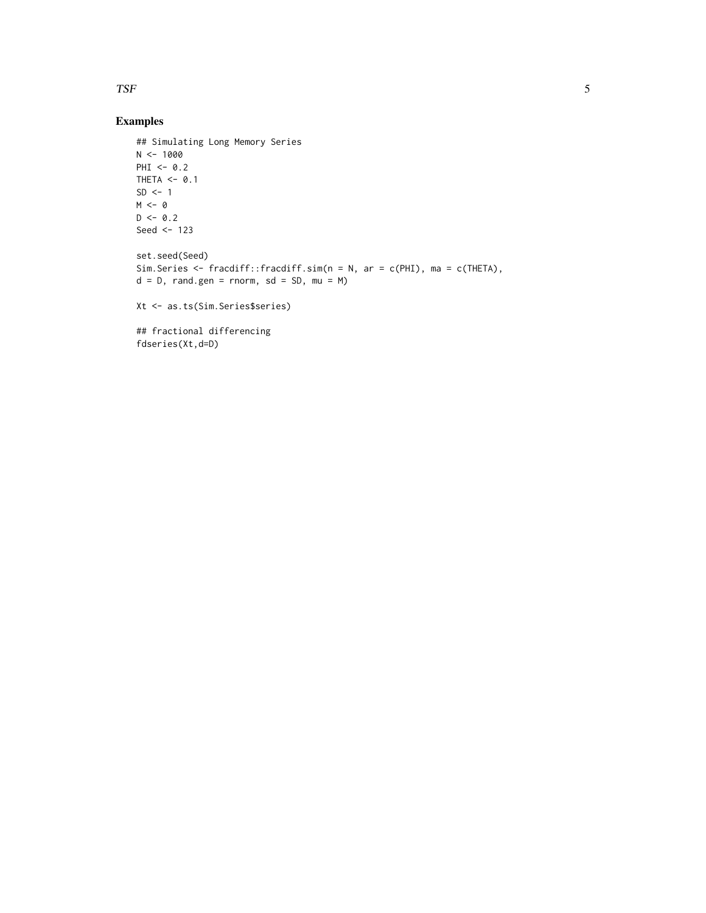#### TSF 5

#### Examples

```
## Simulating Long Memory Series
N < -1000PHI \leq -0.2THETA <- 0.1
SD < -1M < - \thetaD \le -0.2Seed <- 123
set.seed(Seed)
Sim.Series <- fracdiff::fracdiff.sim(n = N, ar = c(PHI), ma = c(THETA),
d = D, rand.gen = rnorm, sd = SD, mu = M)
Xt <- as.ts(Sim.Series$series)
## fractional differencing
fdseries(Xt,d=D)
```